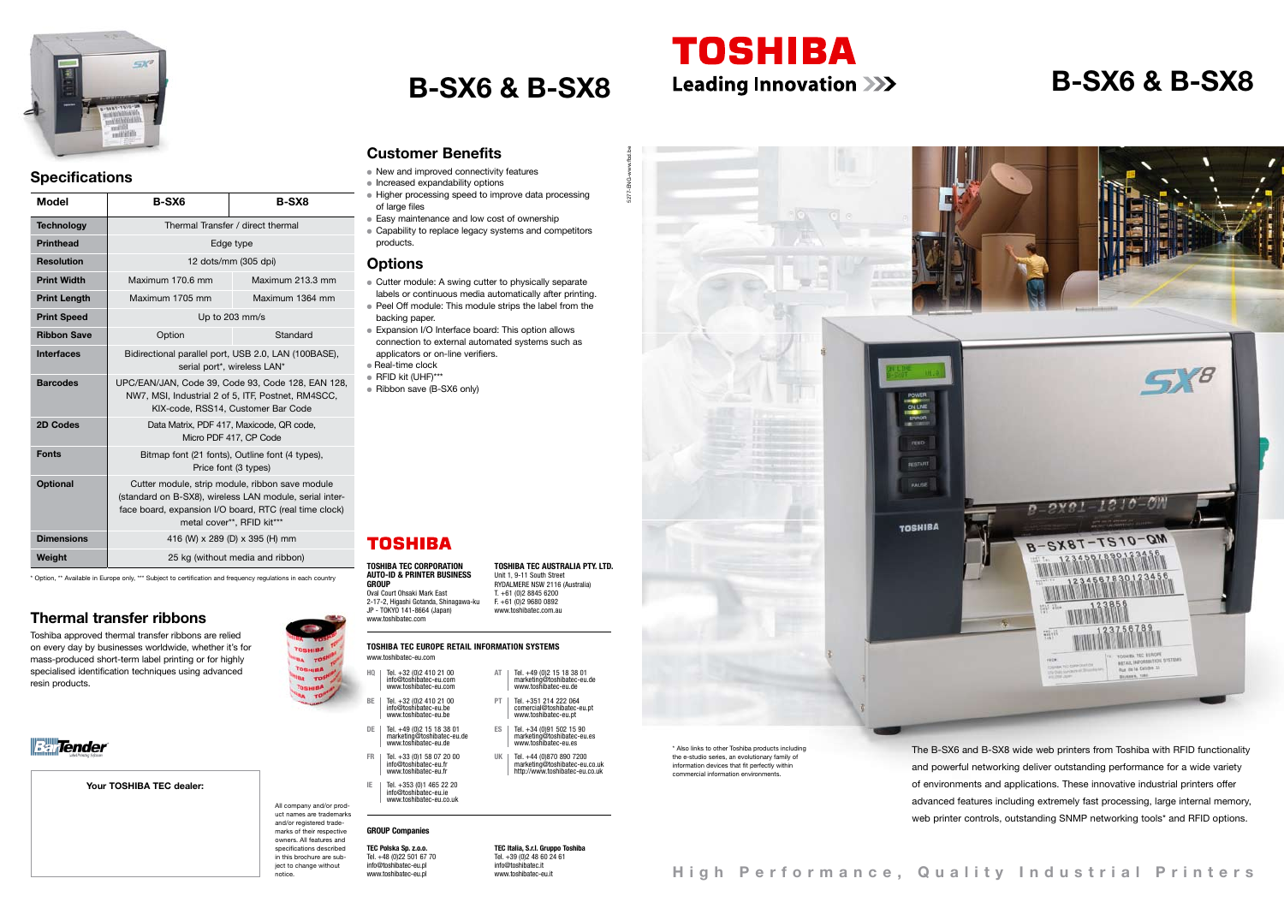## **B-SX6 & B-SX8 B-SX6 & B-SX8**



**HQ** Tel. +32 (0)2 410 21 00

www.toshibatec.com

- info@toshibatec-eu.com www.toshibatec-eu.com
- BE Tel. +32 (0)2 410 21 00<br>
info@toshibatec-eu.be<br>www.toshibatec-eu.be
- **DE** Tel. +49 (0)2 15 18 38 01 marketing@toshibatec-eu.de www.toshibatec-eu.de
- **FR** Tel. +33 (0)1 58 07 20 00 info@toshibatec-eu.fr www.toshibatec-eu.fr **IE** Tel. +353 (0)1 465 22 20
- info@toshibatec-eu.ie www.toshibatec-eu.co.uk

PT Tel. +351 214 222 064<br>comercial@toshibatec-eu.pt<br>www.toshibatec-eu.pt **ES** Tel. +34 (0)91 502 15 90

UK | Tel. +44 (0)870 890 7200

marketing@toshibatec-eu.co.uk http://www.toshibatec-eu.co.uk

**TEC Polska Sp. z.o.o.**  Tel. +48 (0) 22 501 67 70 info@toshibatec-eu.pl www.toshibatec-eu.pl

- New and improved connectivity features
- Increased expandability options
- Higher processing speed to improve data processing of large files
- Easy maintenance and low cost of ownership
- Capability to replace legacy systems and competitors products.

**TOSHIBA TEC CORPORATION AUTO-ID & PRINTER BUSINESS GROUP** Oval Court Ohsaki Mark East 2-17-2, Higashi Gotanda, Shinagawa-ku JP - TOKYO 141-8664 (Japan)

> The B-SX6 and B-SX8 wide web printers from Toshiba with RFID functionality and powerful networking deliver outstanding performance for a wide variety of environments and applications. These innovative industrial printers offer advanced features including extremely fast processing, large internal memory, web printer controls, outstanding SNMP networking tools\* and RFID options.

**TOSHIBA TEC AUSTRALIA PTY. LTD.** Unit 1, 9-11 South Street RYDALMERE NSW 2116 (Australia) T. +61 (0)2 8845 6200 F. +61 (0)2 9680 0892 www.toshibatec.com.au

**AT** | Tel. +49 (0) 2 15 18 38 01<br>marketing@toshibatec-eu de

#### **TOSHIBA TEC EUROPE RETAIL INFORMATION SYSTEMS** www.toshibatec-eu.com

**TEC Italia, S.r.l. Gruppo Toshiba** Tel. +39 (0)2 48 60 24 61 info@toshibatec.it www.toshibatec-eu.it

#### **Customer Benefits**

#### the e-studio series, an evolutionary family of information devices that fit perfectly within commercial information environ

#### **Options**

- Cutter module: A swing cutter to physically separate labels or continuous media automatically after printing.
- Peel Off module: This module strips the label from the backing paper.
- **Expansion I/O Interface board: This option allows** connection to external automated systems such as applicators or on-line verifiers.
- $\bullet$  Real-time clock
- $\bullet$  RFID kit (UHF)\*\*\*
- Ribbon save (B-SX6 only)

## **TOSHIBA**

# 5277-ENG-www.fbd.be PAUSE **TOSHIBA** marketing@toshibatec-eu.de www.toshibatec-eu.de marketing@toshibatec-eu.es www.toshibatec-eu.es

**TOSHIBA** 



**Fallender** 



#### **Specifications**

All company and/or product names are trademarks and/or registered trademarks of their respective owners. All features and specifications described in this brochure are subject to change without notice.

\* Also links to other Toshiba products including

**Thermal transfer ribbons** 

Toshiba approved thermal transfer ribbons are relied on every day by businesses worldwide, whether it's for mass-produced short-term label printing or for highly specialised identification techniques using advanced

resin products.

Your TOSHIBA TEC dealer:

| Model               | <b>B-SX6</b>                                                                                                                                                                                       | <b>B-SX8</b>     |
|---------------------|----------------------------------------------------------------------------------------------------------------------------------------------------------------------------------------------------|------------------|
| <b>Technology</b>   | Thermal Transfer / direct thermal                                                                                                                                                                  |                  |
| <b>Printhead</b>    | Edge type                                                                                                                                                                                          |                  |
| <b>Resolution</b>   | 12 dots/mm (305 dpi)                                                                                                                                                                               |                  |
| <b>Print Width</b>  | Maximum 170.6 mm                                                                                                                                                                                   | Maximum 213.3 mm |
| <b>Print Length</b> | Maximum 1705 mm                                                                                                                                                                                    | Maximum 1364 mm  |
| <b>Print Speed</b>  | Up to 203 mm/s                                                                                                                                                                                     |                  |
| <b>Ribbon Save</b>  | Option                                                                                                                                                                                             | Standard         |
| <b>Interfaces</b>   | Bidirectional parallel port, USB 2.0, LAN (100BASE),<br>serial port*, wireless LAN*                                                                                                                |                  |
| <b>Barcodes</b>     | UPC/EAN/JAN, Code 39, Code 93, Code 128, EAN 128,<br>NW7, MSI, Industrial 2 of 5, ITF, Postnet, RM4SCC,<br>KIX-code, RSS14, Customer Bar Code                                                      |                  |
| 2D Codes            | Data Matrix, PDF 417, Maxicode, QR code,<br>Micro PDF 417, CP Code                                                                                                                                 |                  |
| <b>Fonts</b>        | Bitmap font (21 fonts), Outline font (4 types),<br>Price font (3 types)                                                                                                                            |                  |
| <b>Optional</b>     | Cutter module, strip module, ribbon save module<br>(standard on B-SX8), wireless LAN module, serial inter-<br>face board, expansion I/O board, RTC (real time clock)<br>metal cover**, RFID kit*** |                  |
| <b>Dimensions</b>   | 416 (W) x 289 (D) x 395 (H) mm                                                                                                                                                                     |                  |
| Weight              | 25 kg (without media and ribbon)                                                                                                                                                                   |                  |

\* Option, \*\* Available in Europe only, \*\*\* Subject to certification and frequency regulations in each country

#### **GROUP Companies**